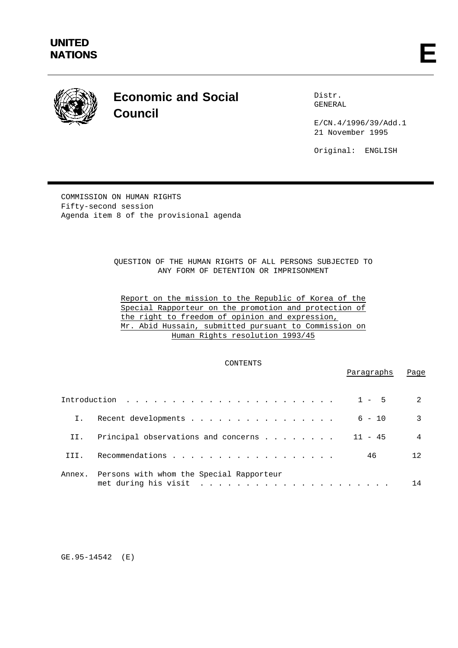

# **Economic and Social Council**

Distr. GENERAL

E/CN.4/1996/39/Add.1 21 November 1995

Original: ENGLISH

COMMISSION ON HUMAN RIGHTS Fifty-second session Agenda item 8 of the provisional agenda

> QUESTION OF THE HUMAN RIGHTS OF ALL PERSONS SUBJECTED TO ANY FORM OF DETENTION OR IMPRISONMENT

Report on the mission to the Republic of Korea of the Special Rapporteur on the promotion and protection of the right to freedom of opinion and expression, Mr. Abid Hussain, submitted pursuant to Commission on Human Rights resolution 1993/45

# CONTENTS

Paragraphs Page

|        |                                             | $\mathfrak{D}$ |
|--------|---------------------------------------------|----------------|
|        | $6 - 10$<br>Recent developments             | 3              |
| II.    | Principal observations and concerns 11 - 45 | $\overline{4}$ |
| TTT.   | 46                                          | 12             |
| Annex. | Persons with whom the Special Rapporteur    | 14             |

GE.95-14542 (E)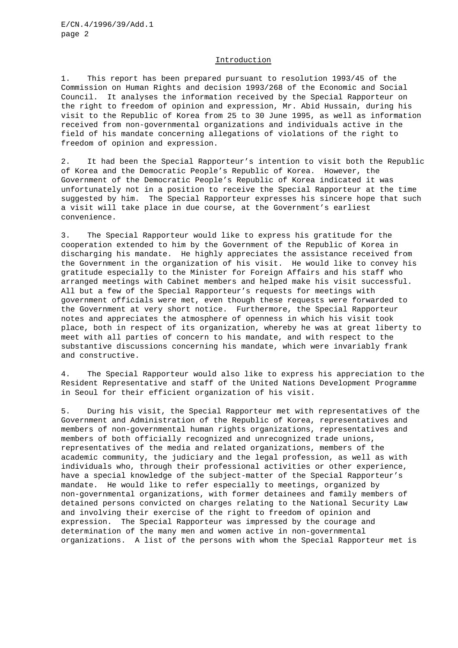## Introduction

1. This report has been prepared pursuant to resolution 1993/45 of the Commission on Human Rights and decision 1993/268 of the Economic and Social Council. It analyses the information received by the Special Rapporteur on the right to freedom of opinion and expression, Mr. Abid Hussain, during his visit to the Republic of Korea from 25 to 30 June 1995, as well as information received from non-governmental organizations and individuals active in the field of his mandate concerning allegations of violations of the right to freedom of opinion and expression.

2. It had been the Special Rapporteur's intention to visit both the Republic of Korea and the Democratic People's Republic of Korea. However, the Government of the Democratic People's Republic of Korea indicated it was unfortunately not in a position to receive the Special Rapporteur at the time suggested by him. The Special Rapporteur expresses his sincere hope that such a visit will take place in due course, at the Government's earliest convenience.

3. The Special Rapporteur would like to express his gratitude for the cooperation extended to him by the Government of the Republic of Korea in discharging his mandate. He highly appreciates the assistance received from the Government in the organization of his visit. He would like to convey his gratitude especially to the Minister for Foreign Affairs and his staff who arranged meetings with Cabinet members and helped make his visit successful. All but a few of the Special Rapporteur's requests for meetings with government officials were met, even though these requests were forwarded to the Government at very short notice. Furthermore, the Special Rapporteur notes and appreciates the atmosphere of openness in which his visit took place, both in respect of its organization, whereby he was at great liberty to meet with all parties of concern to his mandate, and with respect to the substantive discussions concerning his mandate, which were invariably frank and constructive.

4. The Special Rapporteur would also like to express his appreciation to the Resident Representative and staff of the United Nations Development Programme in Seoul for their efficient organization of his visit.

5. During his visit, the Special Rapporteur met with representatives of the Government and Administration of the Republic of Korea, representatives and members of non-governmental human rights organizations, representatives and members of both officially recognized and unrecognized trade unions, representatives of the media and related organizations, members of the academic community, the judiciary and the legal profession, as well as with individuals who, through their professional activities or other experience, have a special knowledge of the subject-matter of the Special Rapporteur's mandate. He would like to refer especially to meetings, organized by non-governmental organizations, with former detainees and family members of detained persons convicted on charges relating to the National Security Law and involving their exercise of the right to freedom of opinion and expression. The Special Rapporteur was impressed by the courage and determination of the many men and women active in non-governmental organizations. A list of the persons with whom the Special Rapporteur met is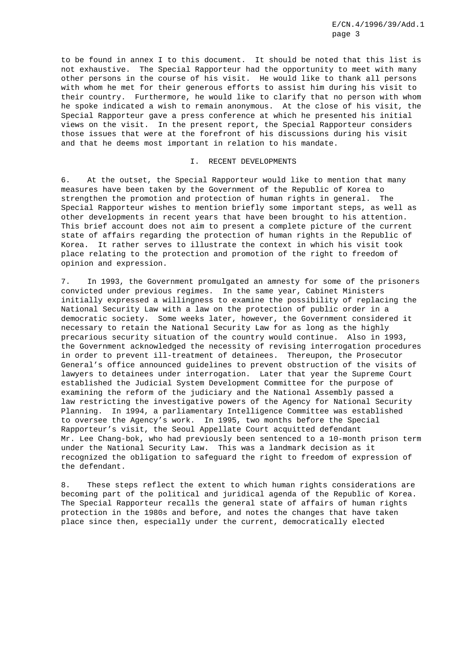to be found in annex I to this document. It should be noted that this list is not exhaustive. The Special Rapporteur had the opportunity to meet with many other persons in the course of his visit. He would like to thank all persons with whom he met for their generous efforts to assist him during his visit to their country. Furthermore, he would like to clarify that no person with whom he spoke indicated a wish to remain anonymous. At the close of his visit, the Special Rapporteur gave a press conference at which he presented his initial views on the visit. In the present report, the Special Rapporteur considers those issues that were at the forefront of his discussions during his visit and that he deems most important in relation to his mandate.

#### I. RECENT DEVELOPMENTS

6. At the outset, the Special Rapporteur would like to mention that many measures have been taken by the Government of the Republic of Korea to strengthen the promotion and protection of human rights in general. The Special Rapporteur wishes to mention briefly some important steps, as well as other developments in recent years that have been brought to his attention. This brief account does not aim to present a complete picture of the current state of affairs regarding the protection of human rights in the Republic of Korea. It rather serves to illustrate the context in which his visit took place relating to the protection and promotion of the right to freedom of opinion and expression.

7. In 1993, the Government promulgated an amnesty for some of the prisoners convicted under previous regimes. In the same year, Cabinet Ministers initially expressed a willingness to examine the possibility of replacing the National Security Law with a law on the protection of public order in a democratic society. Some weeks later, however, the Government considered it necessary to retain the National Security Law for as long as the highly precarious security situation of the country would continue. Also in 1993, the Government acknowledged the necessity of revising interrogation procedures in order to prevent ill-treatment of detainees. Thereupon, the Prosecutor General's office announced guidelines to prevent obstruction of the visits of lawyers to detainees under interrogation. Later that year the Supreme Court established the Judicial System Development Committee for the purpose of examining the reform of the judiciary and the National Assembly passed a law restricting the investigative powers of the Agency for National Security Planning. In 1994, a parliamentary Intelligence Committee was established to oversee the Agency's work. In 1995, two months before the Special Rapporteur's visit, the Seoul Appellate Court acquitted defendant Mr. Lee Chang-bok, who had previously been sentenced to a 10-month prison term under the National Security Law. This was a landmark decision as it recognized the obligation to safeguard the right to freedom of expression of the defendant.

8. These steps reflect the extent to which human rights considerations are becoming part of the political and juridical agenda of the Republic of Korea. The Special Rapporteur recalls the general state of affairs of human rights protection in the 1980s and before, and notes the changes that have taken place since then, especially under the current, democratically elected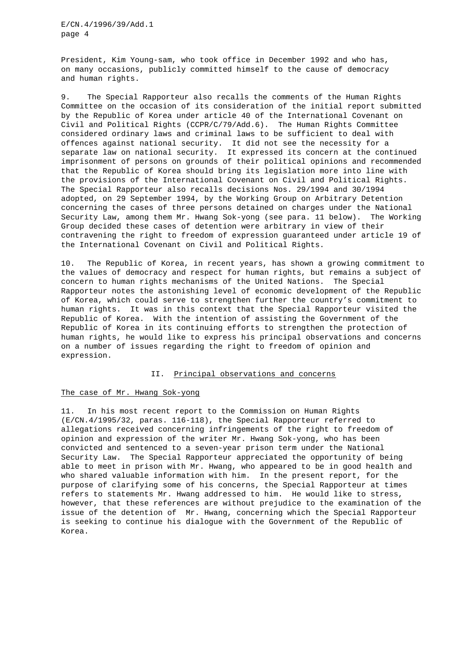President, Kim Young-sam, who took office in December 1992 and who has, on many occasions, publicly committed himself to the cause of democracy and human rights.

9. The Special Rapporteur also recalls the comments of the Human Rights Committee on the occasion of its consideration of the initial report submitted by the Republic of Korea under article 40 of the International Covenant on Civil and Political Rights (CCPR/C/79/Add.6). The Human Rights Committee considered ordinary laws and criminal laws to be sufficient to deal with offences against national security. It did not see the necessity for a separate law on national security. It expressed its concern at the continued imprisonment of persons on grounds of their political opinions and recommended that the Republic of Korea should bring its legislation more into line with the provisions of the International Covenant on Civil and Political Rights. The Special Rapporteur also recalls decisions Nos. 29/1994 and 30/1994 adopted, on 29 September 1994, by the Working Group on Arbitrary Detention concerning the cases of three persons detained on charges under the National Security Law, among them Mr. Hwang Sok-yong (see para. 11 below). The Working Group decided these cases of detention were arbitrary in view of their contravening the right to freedom of expression guaranteed under article 19 of the International Covenant on Civil and Political Rights.

10. The Republic of Korea, in recent years, has shown a growing commitment to the values of democracy and respect for human rights, but remains a subject of concern to human rights mechanisms of the United Nations. The Special Rapporteur notes the astonishing level of economic development of the Republic of Korea, which could serve to strengthen further the country's commitment to human rights. It was in this context that the Special Rapporteur visited the Republic of Korea. With the intention of assisting the Government of the Republic of Korea in its continuing efforts to strengthen the protection of human rights, he would like to express his principal observations and concerns on a number of issues regarding the right to freedom of opinion and expression.

# II. Principal observations and concerns

## The case of Mr. Hwang Sok-yong

11. In his most recent report to the Commission on Human Rights (E/CN.4/1995/32, paras. 116-118), the Special Rapporteur referred to allegations received concerning infringements of the right to freedom of opinion and expression of the writer Mr. Hwang Sok-yong, who has been convicted and sentenced to a seven-year prison term under the National Security Law. The Special Rapporteur appreciated the opportunity of being able to meet in prison with Mr. Hwang, who appeared to be in good health and who shared valuable information with him. In the present report, for the purpose of clarifying some of his concerns, the Special Rapporteur at times refers to statements Mr. Hwang addressed to him. He would like to stress, however, that these references are without prejudice to the examination of the issue of the detention of Mr. Hwang, concerning which the Special Rapporteur is seeking to continue his dialogue with the Government of the Republic of Korea.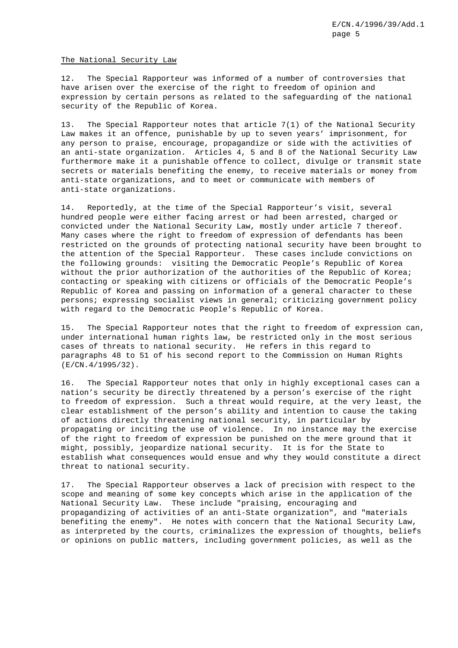#### The National Security Law

12. The Special Rapporteur was informed of a number of controversies that have arisen over the exercise of the right to freedom of opinion and expression by certain persons as related to the safeguarding of the national security of the Republic of Korea.

13. The Special Rapporteur notes that article 7(1) of the National Security Law makes it an offence, punishable by up to seven years' imprisonment, for any person to praise, encourage, propagandize or side with the activities of an anti-state organization. Articles 4, 5 and 8 of the National Security Law furthermore make it a punishable offence to collect, divulge or transmit state secrets or materials benefiting the enemy, to receive materials or money from anti-state organizations, and to meet or communicate with members of anti-state organizations.

14. Reportedly, at the time of the Special Rapporteur's visit, several hundred people were either facing arrest or had been arrested, charged or convicted under the National Security Law, mostly under article 7 thereof. Many cases where the right to freedom of expression of defendants has been restricted on the grounds of protecting national security have been brought to the attention of the Special Rapporteur. These cases include convictions on the following grounds: visiting the Democratic People's Republic of Korea without the prior authorization of the authorities of the Republic of Korea; contacting or speaking with citizens or officials of the Democratic People's Republic of Korea and passing on information of a general character to these persons; expressing socialist views in general; criticizing government policy with regard to the Democratic People's Republic of Korea.

15. The Special Rapporteur notes that the right to freedom of expression can, under international human rights law, be restricted only in the most serious cases of threats to national security. He refers in this regard to paragraphs 48 to 51 of his second report to the Commission on Human Rights (E/CN.4/1995/32).

16. The Special Rapporteur notes that only in highly exceptional cases can a nation's security be directly threatened by a person's exercise of the right to freedom of expression. Such a threat would require, at the very least, the clear establishment of the person's ability and intention to cause the taking of actions directly threatening national security, in particular by propagating or inciting the use of violence. In no instance may the exercise of the right to freedom of expression be punished on the mere ground that it might, possibly, jeopardize national security. It is for the State to establish what consequences would ensue and why they would constitute a direct threat to national security.

17. The Special Rapporteur observes a lack of precision with respect to the scope and meaning of some key concepts which arise in the application of the National Security Law. These include "praising, encouraging and propagandizing of activities of an anti-State organization", and "materials benefiting the enemy". He notes with concern that the National Security Law, as interpreted by the courts, criminalizes the expression of thoughts, beliefs or opinions on public matters, including government policies, as well as the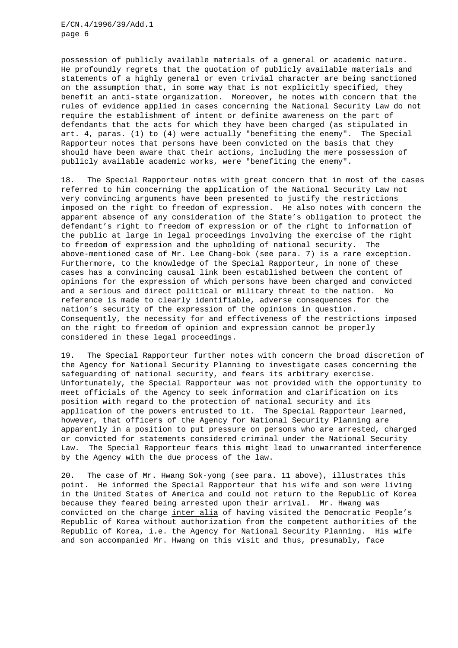possession of publicly available materials of a general or academic nature. He profoundly regrets that the quotation of publicly available materials and statements of a highly general or even trivial character are being sanctioned on the assumption that, in some way that is not explicitly specified, they benefit an anti-state organization. Moreover, he notes with concern that the rules of evidence applied in cases concerning the National Security Law do not require the establishment of intent or definite awareness on the part of defendants that the acts for which they have been charged (as stipulated in art. 4, paras. (1) to (4) were actually "benefiting the enemy". The Special Rapporteur notes that persons have been convicted on the basis that they should have been aware that their actions, including the mere possession of publicly available academic works, were "benefiting the enemy".

18. The Special Rapporteur notes with great concern that in most of the cases referred to him concerning the application of the National Security Law not very convincing arguments have been presented to justify the restrictions imposed on the right to freedom of expression. He also notes with concern the apparent absence of any consideration of the State's obligation to protect the defendant's right to freedom of expression or of the right to information of the public at large in legal proceedings involving the exercise of the right to freedom of expression and the upholding of national security. The above-mentioned case of Mr. Lee Chang-bok (see para. 7) is a rare exception. Furthermore, to the knowledge of the Special Rapporteur, in none of these cases has a convincing causal link been established between the content of opinions for the expression of which persons have been charged and convicted and a serious and direct political or military threat to the nation. No reference is made to clearly identifiable, adverse consequences for the nation's security of the expression of the opinions in question. Consequently, the necessity for and effectiveness of the restrictions imposed on the right to freedom of opinion and expression cannot be properly considered in these legal proceedings.

19. The Special Rapporteur further notes with concern the broad discretion of the Agency for National Security Planning to investigate cases concerning the safeguarding of national security, and fears its arbitrary exercise. Unfortunately, the Special Rapporteur was not provided with the opportunity to meet officials of the Agency to seek information and clarification on its position with regard to the protection of national security and its application of the powers entrusted to it. The Special Rapporteur learned, however, that officers of the Agency for National Security Planning are apparently in a position to put pressure on persons who are arrested, charged or convicted for statements considered criminal under the National Security Law. The Special Rapporteur fears this might lead to unwarranted interference by the Agency with the due process of the law.

20. The case of Mr. Hwang Sok-yong (see para. 11 above), illustrates this point. He informed the Special Rapporteur that his wife and son were living in the United States of America and could not return to the Republic of Korea because they feared being arrested upon their arrival. Mr. Hwang was convicted on the charge inter alia of having visited the Democratic People's Republic of Korea without authorization from the competent authorities of the Republic of Korea, i.e. the Agency for National Security Planning. His wife and son accompanied Mr. Hwang on this visit and thus, presumably, face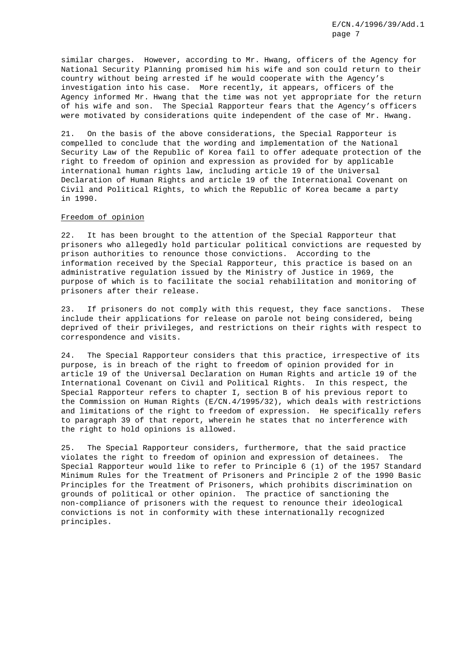similar charges. However, according to Mr. Hwang, officers of the Agency for National Security Planning promised him his wife and son could return to their country without being arrested if he would cooperate with the Agency's investigation into his case. More recently, it appears, officers of the Agency informed Mr. Hwang that the time was not yet appropriate for the return of his wife and son. The Special Rapporteur fears that the Agency's officers were motivated by considerations quite independent of the case of Mr. Hwang.

21. On the basis of the above considerations, the Special Rapporteur is compelled to conclude that the wording and implementation of the National Security Law of the Republic of Korea fail to offer adequate protection of the right to freedom of opinion and expression as provided for by applicable international human rights law, including article 19 of the Universal Declaration of Human Rights and article 19 of the International Covenant on Civil and Political Rights, to which the Republic of Korea became a party in 1990.

# Freedom of opinion

22. It has been brought to the attention of the Special Rapporteur that prisoners who allegedly hold particular political convictions are requested by prison authorities to renounce those convictions. According to the information received by the Special Rapporteur, this practice is based on an administrative regulation issued by the Ministry of Justice in 1969, the purpose of which is to facilitate the social rehabilitation and monitoring of prisoners after their release.

23. If prisoners do not comply with this request, they face sanctions. These include their applications for release on parole not being considered, being deprived of their privileges, and restrictions on their rights with respect to correspondence and visits.

24. The Special Rapporteur considers that this practice, irrespective of its purpose, is in breach of the right to freedom of opinion provided for in article 19 of the Universal Declaration on Human Rights and article 19 of the International Covenant on Civil and Political Rights. In this respect, the Special Rapporteur refers to chapter I, section B of his previous report to the Commission on Human Rights (E/CN.4/1995/32), which deals with restrictions and limitations of the right to freedom of expression. He specifically refers to paragraph 39 of that report, wherein he states that no interference with the right to hold opinions is allowed.

25. The Special Rapporteur considers, furthermore, that the said practice violates the right to freedom of opinion and expression of detainees. The Special Rapporteur would like to refer to Principle 6 (1) of the 1957 Standard Minimum Rules for the Treatment of Prisoners and Principle 2 of the 1990 Basic Principles for the Treatment of Prisoners, which prohibits discrimination on grounds of political or other opinion. The practice of sanctioning the non-compliance of prisoners with the request to renounce their ideological convictions is not in conformity with these internationally recognized principles.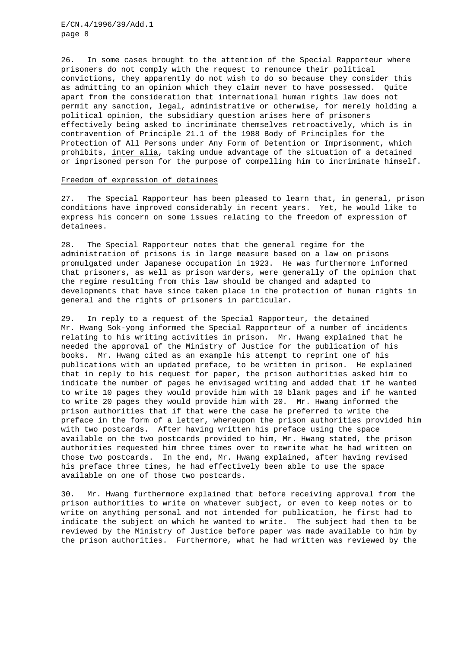26. In some cases brought to the attention of the Special Rapporteur where prisoners do not comply with the request to renounce their political convictions, they apparently do not wish to do so because they consider this as admitting to an opinion which they claim never to have possessed. Quite apart from the consideration that international human rights law does not permit any sanction, legal, administrative or otherwise, for merely holding a political opinion, the subsidiary question arises here of prisoners effectively being asked to incriminate themselves retroactively, which is in contravention of Principle 21.1 of the 1988 Body of Principles for the Protection of All Persons under Any Form of Detention or Imprisonment, which prohibits, inter alia, taking undue advantage of the situation of a detained or imprisoned person for the purpose of compelling him to incriminate himself.

# Freedom of expression of detainees

27. The Special Rapporteur has been pleased to learn that, in general, prison conditions have improved considerably in recent years. Yet, he would like to express his concern on some issues relating to the freedom of expression of detainees.

28. The Special Rapporteur notes that the general regime for the administration of prisons is in large measure based on a law on prisons promulgated under Japanese occupation in 1923. He was furthermore informed that prisoners, as well as prison warders, were generally of the opinion that the regime resulting from this law should be changed and adapted to developments that have since taken place in the protection of human rights in general and the rights of prisoners in particular.

29. In reply to a request of the Special Rapporteur, the detained Mr. Hwang Sok-yong informed the Special Rapporteur of a number of incidents relating to his writing activities in prison. Mr. Hwang explained that he needed the approval of the Ministry of Justice for the publication of his books. Mr. Hwang cited as an example his attempt to reprint one of his publications with an updated preface, to be written in prison. He explained that in reply to his request for paper, the prison authorities asked him to indicate the number of pages he envisaged writing and added that if he wanted to write 10 pages they would provide him with 10 blank pages and if he wanted to write 20 pages they would provide him with 20. Mr. Hwang informed the prison authorities that if that were the case he preferred to write the preface in the form of a letter, whereupon the prison authorities provided him with two postcards. After having written his preface using the space available on the two postcards provided to him, Mr. Hwang stated, the prison authorities requested him three times over to rewrite what he had written on those two postcards. In the end, Mr. Hwang explained, after having revised his preface three times, he had effectively been able to use the space available on one of those two postcards.

30. Mr. Hwang furthermore explained that before receiving approval from the prison authorities to write on whatever subject, or even to keep notes or to write on anything personal and not intended for publication, he first had to indicate the subject on which he wanted to write. The subject had then to be reviewed by the Ministry of Justice before paper was made available to him by the prison authorities. Furthermore, what he had written was reviewed by the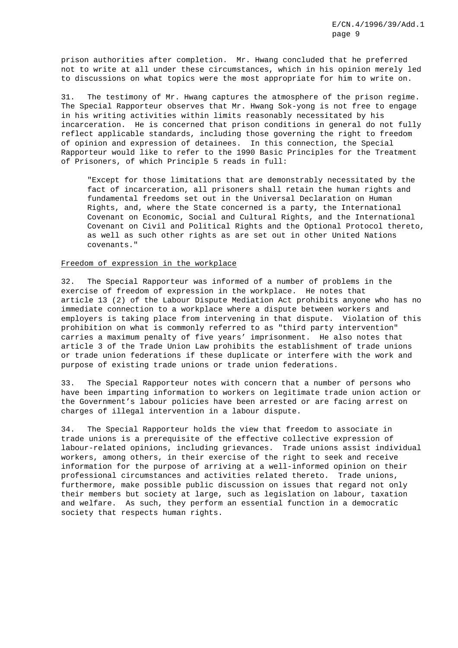prison authorities after completion. Mr. Hwang concluded that he preferred not to write at all under these circumstances, which in his opinion merely led to discussions on what topics were the most appropriate for him to write on.

31. The testimony of Mr. Hwang captures the atmosphere of the prison regime. The Special Rapporteur observes that Mr. Hwang Sok-yong is not free to engage in his writing activities within limits reasonably necessitated by his incarceration. He is concerned that prison conditions in general do not fully reflect applicable standards, including those governing the right to freedom of opinion and expression of detainees. In this connection, the Special Rapporteur would like to refer to the 1990 Basic Principles for the Treatment of Prisoners, of which Principle 5 reads in full:

"Except for those limitations that are demonstrably necessitated by the fact of incarceration, all prisoners shall retain the human rights and fundamental freedoms set out in the Universal Declaration on Human Rights, and, where the State concerned is a party, the International Covenant on Economic, Social and Cultural Rights, and the International Covenant on Civil and Political Rights and the Optional Protocol thereto, as well as such other rights as are set out in other United Nations covenants."

## Freedom of expression in the workplace

32. The Special Rapporteur was informed of a number of problems in the exercise of freedom of expression in the workplace. He notes that article 13 (2) of the Labour Dispute Mediation Act prohibits anyone who has no immediate connection to a workplace where a dispute between workers and employers is taking place from intervening in that dispute. Violation of this prohibition on what is commonly referred to as "third party intervention" carries a maximum penalty of five years' imprisonment. He also notes that article 3 of the Trade Union Law prohibits the establishment of trade unions or trade union federations if these duplicate or interfere with the work and purpose of existing trade unions or trade union federations.

33. The Special Rapporteur notes with concern that a number of persons who have been imparting information to workers on legitimate trade union action or the Government's labour policies have been arrested or are facing arrest on charges of illegal intervention in a labour dispute.

34. The Special Rapporteur holds the view that freedom to associate in trade unions is a prerequisite of the effective collective expression of labour-related opinions, including grievances. Trade unions assist individual workers, among others, in their exercise of the right to seek and receive information for the purpose of arriving at a well-informed opinion on their professional circumstances and activities related thereto. Trade unions, furthermore, make possible public discussion on issues that regard not only their members but society at large, such as legislation on labour, taxation and welfare. As such, they perform an essential function in a democratic society that respects human rights.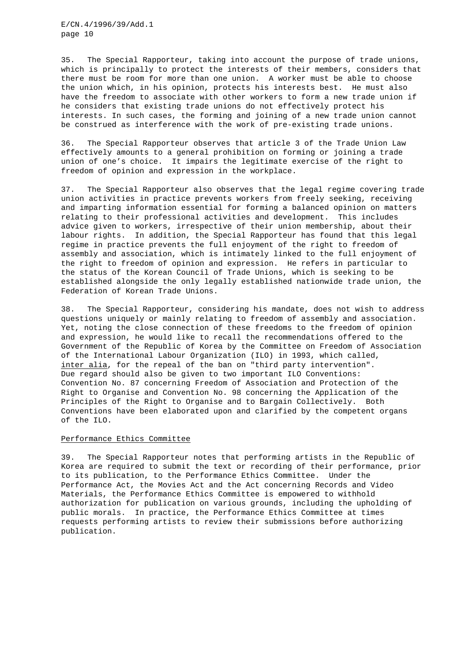35. The Special Rapporteur, taking into account the purpose of trade unions, which is principally to protect the interests of their members, considers that there must be room for more than one union. A worker must be able to choose the union which, in his opinion, protects his interests best. He must also have the freedom to associate with other workers to form a new trade union if he considers that existing trade unions do not effectively protect his interests. In such cases, the forming and joining of a new trade union cannot be construed as interference with the work of pre-existing trade unions.

36. The Special Rapporteur observes that article 3 of the Trade Union Law effectively amounts to a general prohibition on forming or joining a trade union of one's choice. It impairs the legitimate exercise of the right to freedom of opinion and expression in the workplace.

37. The Special Rapporteur also observes that the legal regime covering trade union activities in practice prevents workers from freely seeking, receiving and imparting information essential for forming a balanced opinion on matters relating to their professional activities and development. This includes advice given to workers, irrespective of their union membership, about their labour rights. In addition, the Special Rapporteur has found that this legal regime in practice prevents the full enjoyment of the right to freedom of assembly and association, which is intimately linked to the full enjoyment of the right to freedom of opinion and expression. He refers in particular to the status of the Korean Council of Trade Unions, which is seeking to be established alongside the only legally established nationwide trade union, the Federation of Korean Trade Unions.

38. The Special Rapporteur, considering his mandate, does not wish to address questions uniquely or mainly relating to freedom of assembly and association. Yet, noting the close connection of these freedoms to the freedom of opinion and expression, he would like to recall the recommendations offered to the Government of the Republic of Korea by the Committee on Freedom of Association of the International Labour Organization (ILO) in 1993, which called, inter alia, for the repeal of the ban on "third party intervention". Due regard should also be given to two important ILO Conventions: Convention No. 87 concerning Freedom of Association and Protection of the Right to Organise and Convention No. 98 concerning the Application of the Principles of the Right to Organise and to Bargain Collectively. Both Conventions have been elaborated upon and clarified by the competent organs of the ILO.

# Performance Ethics Committee

39. The Special Rapporteur notes that performing artists in the Republic of Korea are required to submit the text or recording of their performance, prior to its publication, to the Performance Ethics Committee. Under the Performance Act, the Movies Act and the Act concerning Records and Video Materials, the Performance Ethics Committee is empowered to withhold authorization for publication on various grounds, including the upholding of public morals. In practice, the Performance Ethics Committee at times requests performing artists to review their submissions before authorizing publication.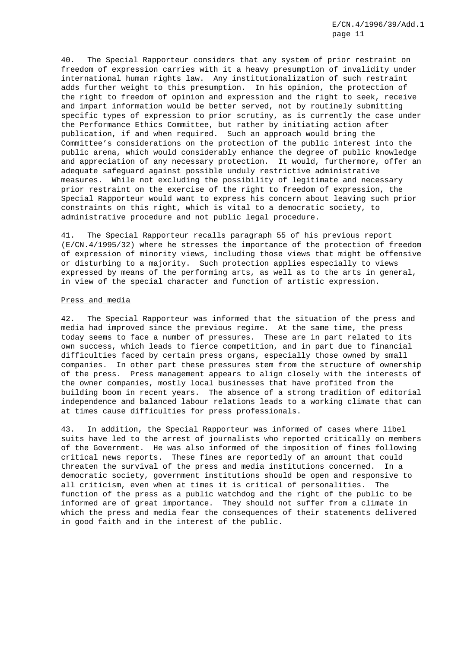40. The Special Rapporteur considers that any system of prior restraint on freedom of expression carries with it a heavy presumption of invalidity under international human rights law. Any institutionalization of such restraint adds further weight to this presumption. In his opinion, the protection of the right to freedom of opinion and expression and the right to seek, receive and impart information would be better served, not by routinely submitting specific types of expression to prior scrutiny, as is currently the case under the Performance Ethics Committee, but rather by initiating action after publication, if and when required. Such an approach would bring the Committee's considerations on the protection of the public interest into the public arena, which would considerably enhance the degree of public knowledge and appreciation of any necessary protection. It would, furthermore, offer an adequate safeguard against possible unduly restrictive administrative measures. While not excluding the possibility of legitimate and necessary prior restraint on the exercise of the right to freedom of expression, the Special Rapporteur would want to express his concern about leaving such prior constraints on this right, which is vital to a democratic society, to administrative procedure and not public legal procedure.

41. The Special Rapporteur recalls paragraph 55 of his previous report (E/CN.4/1995/32) where he stresses the importance of the protection of freedom of expression of minority views, including those views that might be offensive or disturbing to a majority. Such protection applies especially to views expressed by means of the performing arts, as well as to the arts in general, in view of the special character and function of artistic expression.

#### Press and media

42. The Special Rapporteur was informed that the situation of the press and media had improved since the previous regime. At the same time, the press today seems to face a number of pressures. These are in part related to its own success, which leads to fierce competition, and in part due to financial difficulties faced by certain press organs, especially those owned by small companies. In other part these pressures stem from the structure of ownership of the press. Press management appears to align closely with the interests of the owner companies, mostly local businesses that have profited from the building boom in recent years. The absence of a strong tradition of editorial independence and balanced labour relations leads to a working climate that can at times cause difficulties for press professionals.

43. In addition, the Special Rapporteur was informed of cases where libel suits have led to the arrest of journalists who reported critically on members of the Government. He was also informed of the imposition of fines following critical news reports. These fines are reportedly of an amount that could threaten the survival of the press and media institutions concerned. In a democratic society, government institutions should be open and responsive to all criticism, even when at times it is critical of personalities. The function of the press as a public watchdog and the right of the public to be informed are of great importance. They should not suffer from a climate in which the press and media fear the consequences of their statements delivered in good faith and in the interest of the public.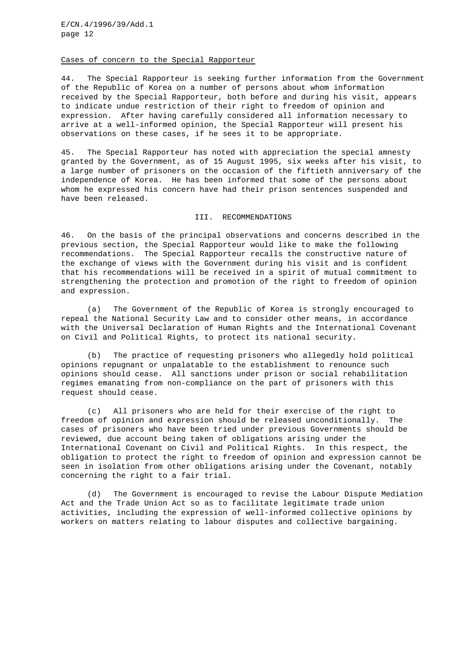#### Cases of concern to the Special Rapporteur

44. The Special Rapporteur is seeking further information from the Government of the Republic of Korea on a number of persons about whom information received by the Special Rapporteur, both before and during his visit, appears to indicate undue restriction of their right to freedom of opinion and expression. After having carefully considered all information necessary to arrive at a well-informed opinion, the Special Rapporteur will present his observations on these cases, if he sees it to be appropriate.

45. The Special Rapporteur has noted with appreciation the special amnesty granted by the Government, as of 15 August 1995, six weeks after his visit, to a large number of prisoners on the occasion of the fiftieth anniversary of the independence of Korea. He has been informed that some of the persons about whom he expressed his concern have had their prison sentences suspended and have been released.

#### III. RECOMMENDATIONS

46. On the basis of the principal observations and concerns described in the previous section, the Special Rapporteur would like to make the following recommendations. The Special Rapporteur recalls the constructive nature of the exchange of views with the Government during his visit and is confident that his recommendations will be received in a spirit of mutual commitment to strengthening the protection and promotion of the right to freedom of opinion and expression.

(a) The Government of the Republic of Korea is strongly encouraged to repeal the National Security Law and to consider other means, in accordance with the Universal Declaration of Human Rights and the International Covenant on Civil and Political Rights, to protect its national security.

(b) The practice of requesting prisoners who allegedly hold political opinions repugnant or unpalatable to the establishment to renounce such opinions should cease. All sanctions under prison or social rehabilitation regimes emanating from non-compliance on the part of prisoners with this request should cease.

(c) All prisoners who are held for their exercise of the right to freedom of opinion and expression should be released unconditionally. The cases of prisoners who have been tried under previous Governments should be reviewed, due account being taken of obligations arising under the International Covenant on Civil and Political Rights. In this respect, the obligation to protect the right to freedom of opinion and expression cannot be seen in isolation from other obligations arising under the Covenant, notably concerning the right to a fair trial.

(d) The Government is encouraged to revise the Labour Dispute Mediation Act and the Trade Union Act so as to facilitate legitimate trade union activities, including the expression of well-informed collective opinions by workers on matters relating to labour disputes and collective bargaining.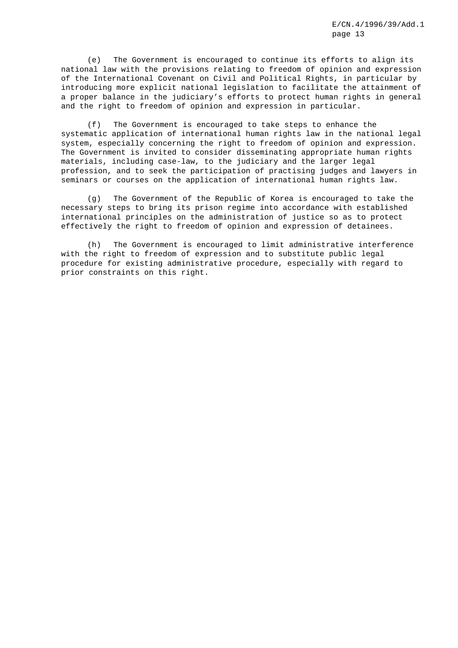(e) The Government is encouraged to continue its efforts to align its national law with the provisions relating to freedom of opinion and expression of the International Covenant on Civil and Political Rights, in particular by introducing more explicit national legislation to facilitate the attainment of a proper balance in the judiciary's efforts to protect human rights in general and the right to freedom of opinion and expression in particular.

(f) The Government is encouraged to take steps to enhance the systematic application of international human rights law in the national legal system, especially concerning the right to freedom of opinion and expression. The Government is invited to consider disseminating appropriate human rights materials, including case-law, to the judiciary and the larger legal profession, and to seek the participation of practising judges and lawyers in seminars or courses on the application of international human rights law.

(g) The Government of the Republic of Korea is encouraged to take the necessary steps to bring its prison regime into accordance with established international principles on the administration of justice so as to protect effectively the right to freedom of opinion and expression of detainees.

(h) The Government is encouraged to limit administrative interference with the right to freedom of expression and to substitute public legal procedure for existing administrative procedure, especially with regard to prior constraints on this right.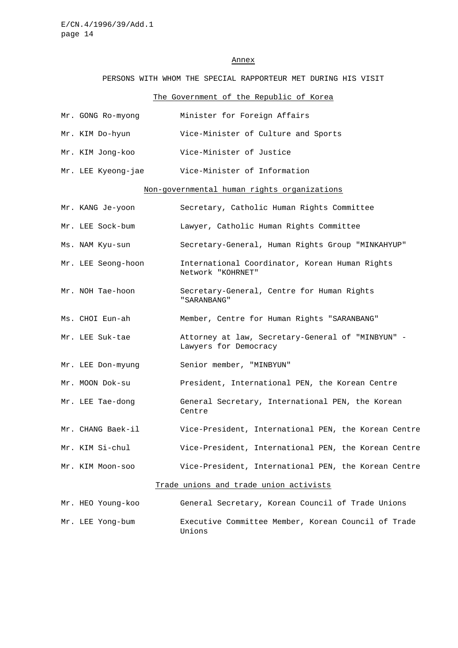#### Annex

## PERSONS WITH WHOM THE SPECIAL RAPPORTEUR MET DURING HIS VISIT

# The Government of the Republic of Korea

|                                             | Mr. GONG Ro-myong  | Minister for Foreign Affairs               |  |  |
|---------------------------------------------|--------------------|--------------------------------------------|--|--|
|                                             | Mr. KIM Do-hyun    | Vice-Minister of Culture and Sports        |  |  |
|                                             | Mr. KIM Jong-koo   | Vice-Minister of Justice                   |  |  |
|                                             | Mr. LEE Kyeong-jae | Vice-Minister of Information               |  |  |
| Non-governmental human rights organizations |                    |                                            |  |  |
|                                             | Mr. KANG Je-voon   | Secretary, Catholic Human Rights Committee |  |  |

- Mr. LEE Sock-bum Lawyer, Catholic Human Rights Committee
- Ms. NAM Kyu-sun Secretary-General, Human Rights Group "MINKAHYUP"
- Mr. LEE Seong-hoon International Coordinator, Korean Human Rights Network "KOHRNET"
- Mr. NOH Tae-hoon Secretary-General, Centre for Human Rights "SARANBANG"
- Ms. CHOI Eun-ah Member, Centre for Human Rights "SARANBANG"
- Mr. LEE Suk-tae Attorney at law, Secretary-General of "MINBYUN" Lawyers for Democracy
- Mr. LEE Don-myung Senior member, "MINBYUN"
- Mr. MOON Dok-su President, International PEN, the Korean Centre
- Mr. LEE Tae-dong General Secretary, International PEN, the Korean Centre
- Mr. CHANG Baek-il Vice-President, International PEN, the Korean Centre
- Mr. KIM Si-chul Vice-President, International PEN, the Korean Centre
- Mr. KIM Moon-soo Vice-President, International PEN, the Korean Centre

## Trade unions and trade union activists

Mr. HEO Young-koo General Secretary, Korean Council of Trade Unions Mr. LEE Yong-bum Executive Committee Member, Korean Council of Trade Unions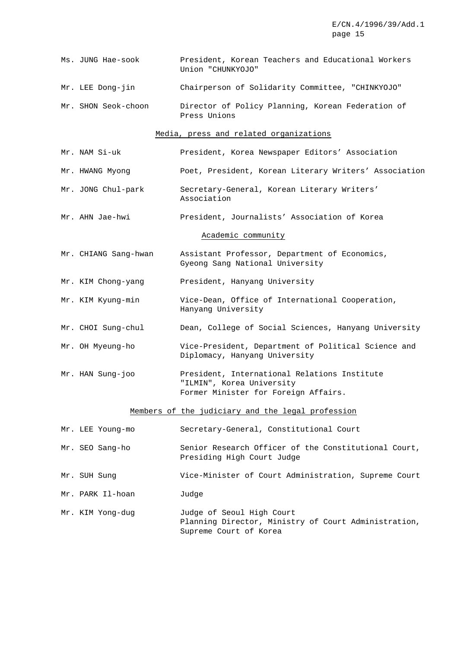|                                        | Ms. JUNG Hae-sook                                 | President, Korean Teachers and Educational Workers<br>Union "CHUNKYOJO"                                           |  |  |  |  |
|----------------------------------------|---------------------------------------------------|-------------------------------------------------------------------------------------------------------------------|--|--|--|--|
|                                        | Mr. LEE Dong-jin                                  | Chairperson of Solidarity Committee, "CHINKYOJO"                                                                  |  |  |  |  |
|                                        | Mr. SHON Seok-choon                               | Director of Policy Planning, Korean Federation of<br>Press Unions                                                 |  |  |  |  |
| Media, press and related organizations |                                                   |                                                                                                                   |  |  |  |  |
|                                        | Mr. NAM Si-uk                                     | President, Korea Newspaper Editors' Association                                                                   |  |  |  |  |
|                                        | Mr. HWANG Myong                                   | Poet, President, Korean Literary Writers' Association                                                             |  |  |  |  |
|                                        | Mr. JONG Chul-park                                | Secretary-General, Korean Literary Writers'<br>Association                                                        |  |  |  |  |
|                                        | Mr. AHN Jae-hwi                                   | President, Journalists' Association of Korea                                                                      |  |  |  |  |
|                                        | Academic community                                |                                                                                                                   |  |  |  |  |
|                                        | Mr. CHIANG Sang-hwan                              | Assistant Professor, Department of Economics,<br>Gyeong Sang National University                                  |  |  |  |  |
|                                        | Mr. KIM Chong-yang                                | President, Hanyang University                                                                                     |  |  |  |  |
|                                        | Mr. KIM Kyung-min                                 | Vice-Dean, Office of International Cooperation,<br>Hanyang University                                             |  |  |  |  |
|                                        | Mr. CHOI Sung-chul                                | Dean, College of Social Sciences, Hanyang University                                                              |  |  |  |  |
|                                        | Mr. OH Myeung-ho                                  | Vice-President, Department of Political Science and<br>Diplomacy, Hanyang University                              |  |  |  |  |
|                                        | Mr. HAN Sung-joo                                  | President, International Relations Institute<br>"ILMIN", Korea University<br>Former Minister for Foreign Affairs. |  |  |  |  |
|                                        | Members of the judiciary and the legal profession |                                                                                                                   |  |  |  |  |
|                                        | Mr. LEE Young-mo                                  | Secretary-General, Constitutional Court                                                                           |  |  |  |  |
|                                        | Mr. SEO Sang-ho                                   | Senior Research Officer of the Constitutional Court,<br>Presiding High Court Judge                                |  |  |  |  |
|                                        | Mr. SUH Sung                                      | Vice-Minister of Court Administration, Supreme Court                                                              |  |  |  |  |
|                                        | Mr. PARK Il-hoan                                  | Judge                                                                                                             |  |  |  |  |
|                                        | Mr. KIM Yong-dug                                  | Judge of Seoul High Court<br>Planning Director, Ministry of Court Administration,<br>Supreme Court of Korea       |  |  |  |  |